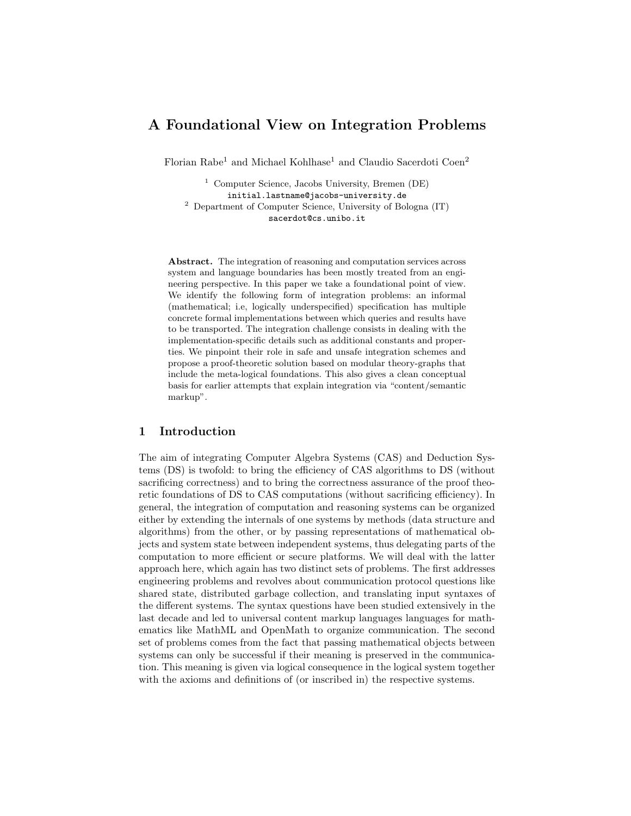# A Foundational View on Integration Problems

Florian Rabe<sup>1</sup> and Michael Kohlhase<sup>1</sup> and Claudio Sacerdoti Coen<sup>2</sup>

<sup>1</sup> Computer Science, Jacobs University, Bremen (DE) initial.lastname@jacobs-university.de <sup>2</sup> Department of Computer Science, University of Bologna (IT) sacerdot@cs.unibo.it

Abstract. The integration of reasoning and computation services across system and language boundaries has been mostly treated from an engineering perspective. In this paper we take a foundational point of view. We identify the following form of integration problems: an informal (mathematical; i.e, logically underspecified) specification has multiple concrete formal implementations between which queries and results have to be transported. The integration challenge consists in dealing with the implementation-specific details such as additional constants and properties. We pinpoint their role in safe and unsafe integration schemes and propose a proof-theoretic solution based on modular theory-graphs that include the meta-logical foundations. This also gives a clean conceptual basis for earlier attempts that explain integration via "content/semantic markup".

# 1 Introduction

The aim of integrating Computer Algebra Systems (CAS) and Deduction Systems (DS) is twofold: to bring the efficiency of CAS algorithms to DS (without sacrificing correctness) and to bring the correctness assurance of the proof theoretic foundations of DS to CAS computations (without sacrificing efficiency). In general, the integration of computation and reasoning systems can be organized either by extending the internals of one systems by methods (data structure and algorithms) from the other, or by passing representations of mathematical objects and system state between independent systems, thus delegating parts of the computation to more efficient or secure platforms. We will deal with the latter approach here, which again has two distinct sets of problems. The first addresses engineering problems and revolves about communication protocol questions like shared state, distributed garbage collection, and translating input syntaxes of the different systems. The syntax questions have been studied extensively in the last decade and led to universal content markup languages languages for mathematics like MathML and OpenMath to organize communication. The second set of problems comes from the fact that passing mathematical objects between systems can only be successful if their meaning is preserved in the communication. This meaning is given via logical consequence in the logical system together with the axioms and definitions of (or inscribed in) the respective systems.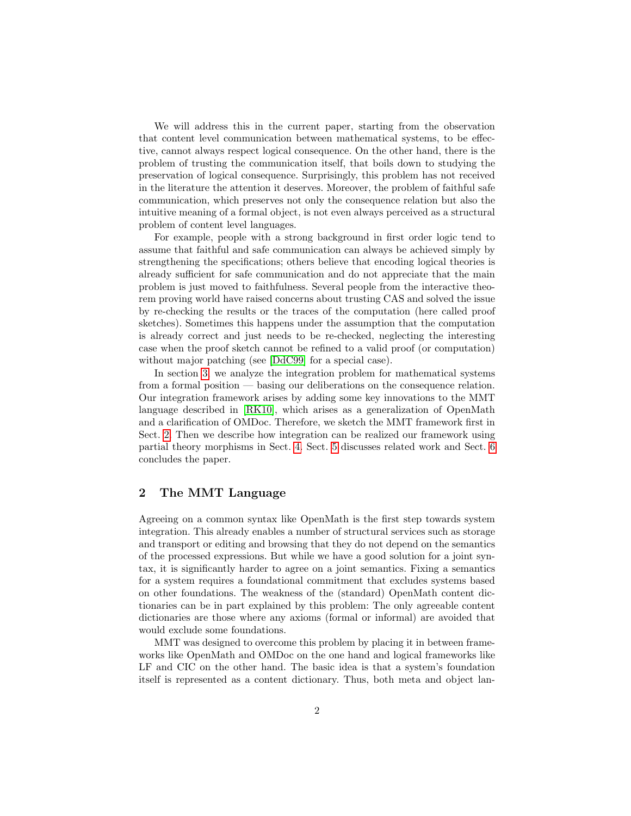We will address this in the current paper, starting from the observation that content level communication between mathematical systems, to be effective, cannot always respect logical consequence. On the other hand, there is the problem of trusting the communication itself, that boils down to studying the preservation of logical consequence. Surprisingly, this problem has not received in the literature the attention it deserves. Moreover, the problem of faithful safe communication, which preserves not only the consequence relation but also the intuitive meaning of a formal object, is not even always perceived as a structural problem of content level languages.

For example, people with a strong background in first order logic tend to assume that faithful and safe communication can always be achieved simply by strengthening the specifications; others believe that encoding logical theories is already sufficient for safe communication and do not appreciate that the main problem is just moved to faithfulness. Several people from the interactive theorem proving world have raised concerns about trusting CAS and solved the issue by re-checking the results or the traces of the computation (here called proof sketches). Sometimes this happens under the assumption that the computation is already correct and just needs to be re-checked, neglecting the interesting case when the proof sketch cannot be refined to a valid proof (or computation) without major patching (see [\[DdC99\]](#page-13-0) for a special case).

In section [3,](#page-4-0) we analyze the integration problem for mathematical systems from a formal position — basing our deliberations on the consequence relation. Our integration framework arises by adding some key innovations to the MMT language described in [\[RK10\]](#page-14-0), which arises as a generalization of OpenMath and a clarification of OMDoc. Therefore, we sketch the MMT framework first in Sect. [2.](#page-1-0) Then we describe how integration can be realized our framework using partial theory morphisms in Sect. [4.](#page-7-0) Sect. [5](#page-11-0) discusses related work and Sect. [6](#page-12-0) concludes the paper.

# <span id="page-1-0"></span>2 The MMT Language

Agreeing on a common syntax like OpenMath is the first step towards system integration. This already enables a number of structural services such as storage and transport or editing and browsing that they do not depend on the semantics of the processed expressions. But while we have a good solution for a joint syntax, it is significantly harder to agree on a joint semantics. Fixing a semantics for a system requires a foundational commitment that excludes systems based on other foundations. The weakness of the (standard) OpenMath content dictionaries can be in part explained by this problem: The only agreeable content dictionaries are those where any axioms (formal or informal) are avoided that would exclude some foundations.

MMT was designed to overcome this problem by placing it in between frameworks like OpenMath and OMDoc on the one hand and logical frameworks like LF and CIC on the other hand. The basic idea is that a system's foundation itself is represented as a content dictionary. Thus, both meta and object lan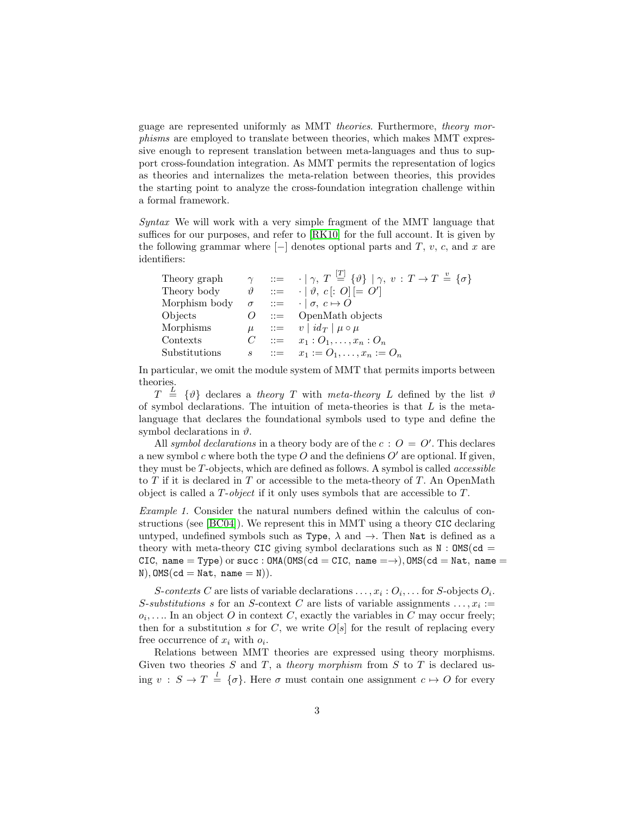guage are represented uniformly as MMT theories. Furthermore, theory morphisms are employed to translate between theories, which makes MMT expressive enough to represent translation between meta-languages and thus to support cross-foundation integration. As MMT permits the representation of logics as theories and internalizes the meta-relation between theories, this provides the starting point to analyze the cross-foundation integration challenge within a formal framework.

Syntax We will work with a very simple fragment of the MMT language that suffices for our purposes, and refer to [\[RK10\]](#page-14-0) for the full account. It is given by the following grammar where  $\vert - \vert$  denotes optional parts and T, v, c, and x are identifiers:

|                                                          |  | Theory graph $\gamma$ ::= $\cdot   \gamma, T \stackrel{[T]}{=} {\emptyset}   \gamma, v : T \to T \stackrel{v}{=} {\sigma}$ |
|----------------------------------------------------------|--|----------------------------------------------------------------------------------------------------------------------------|
|                                                          |  | Theory body $\vartheta$ ::= $ \vartheta, c $ : $O  = O'$                                                                   |
| Morphism body $\sigma$ ::= $\cdot   \sigma, c \mapsto O$ |  |                                                                                                                            |
| Objects                                                  |  | $O$ ::= OpenMath objects                                                                                                   |
| Morphisms                                                |  | $\mu$ ::= $v \mid id_T \mid \mu \circ \mu$                                                                                 |
| Contexts                                                 |  | $C$ ::= $x_1:O_1,\ldots,x_n:O_n$                                                                                           |
| Substitutions                                            |  | $s$ : $x_1 := O_1, \ldots, x_n := O_n$                                                                                     |

In particular, we omit the module system of MMT that permits imports between theories.

 $T \stackrel{L}{=} {\theta}$  declares a theory T with meta-theory L defined by the list  $\vartheta$ of symbol declarations. The intuition of meta-theories is that L is the metalanguage that declares the foundational symbols used to type and define the symbol declarations in  $\vartheta$ .

All symbol declarations in a theory body are of the  $c: O = O'$ . This declares a new symbol c where both the type O and the definiens  $O'$  are optional. If given, they must be T-objects, which are defined as follows. A symbol is called accessible to  $T$  if it is declared in  $T$  or accessible to the meta-theory of  $T$ . An OpenMath object is called a T-object if it only uses symbols that are accessible to T.

<span id="page-2-0"></span>Example 1. Consider the natural numbers defined within the calculus of constructions (see [\[BC04\]](#page-13-1)). We represent this in MMT using a theory CIC declaring untyped, undefined symbols such as Type,  $\lambda$  and  $\rightarrow$ . Then Nat is defined as a theory with meta-theory CIC giving symbol declarations such as  $N : OMS(cd =$ CIC, name = Type) or succ :  $OMA(OMS(cd = CIC, name = \rightarrow))$ ,  $OMS(cd = Nat, name =$  $N$ ), OMS(cd = Nat, name = N)).

*S*-contexts C are lists of variable declarations  $\dots, x_i : O_i, \dots$  for *S*-objects  $O_i$ . S-substitutions s for an S-context C are lists of variable assignments  $\dots, x_i :=$  $o_i, \ldots$  In an object O in context C, exactly the variables in C may occur freely; then for a substitution s for C, we write  $O[s]$  for the result of replacing every free occurrence of  $x_i$  with  $o_i$ .

Relations between MMT theories are expressed using theory morphisms. Given two theories  $S$  and  $T$ , a theory morphism from  $S$  to  $T$  is declared using  $v : S \to T \stackrel{l}{=} {\sigma}$ . Here  $\sigma$  must contain one assignment  $c \mapsto O$  for every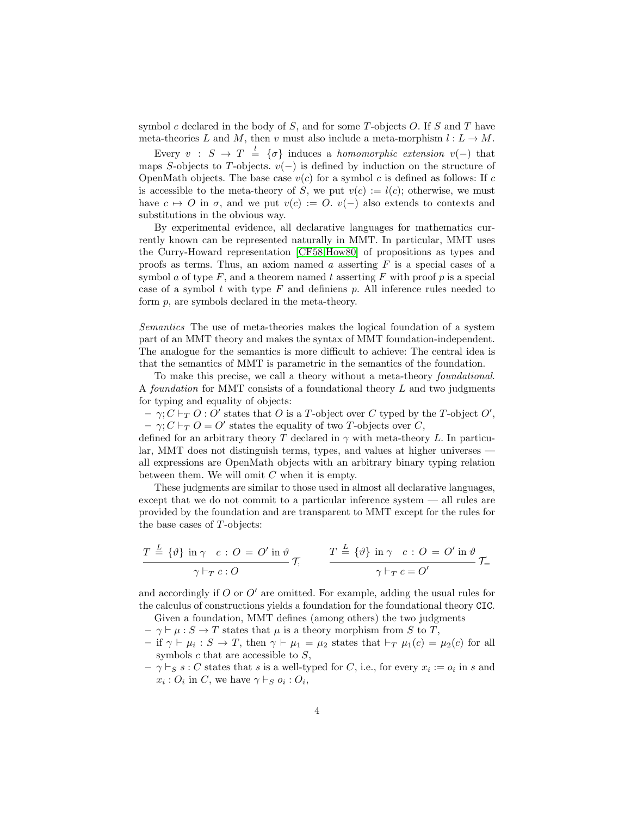symbol c declared in the body of  $S$ , and for some T-objects  $O$ . If  $S$  and  $T$  have meta-theories L and M, then v must also include a meta-morphism  $l : L \to M$ .

Every  $v : S \to T \stackrel{l}{=} {\sigma}$  induces a *homomorphic extension*  $v(-)$  that maps S-objects to T-objects.  $v(-)$  is defined by induction on the structure of OpenMath objects. The base case  $v(c)$  for a symbol c is defined as follows: If c is accessible to the meta-theory of S, we put  $v(c) := l(c)$ ; otherwise, we must have  $c \mapsto O$  in  $\sigma$ , and we put  $v(c) := O$ .  $v(-)$  also extends to contexts and substitutions in the obvious way.

By experimental evidence, all declarative languages for mathematics currently known can be represented naturally in MMT. In particular, MMT uses the Curry-Howard representation [\[CF58](#page-13-2)[,How80\]](#page-13-3) of propositions as types and proofs as terms. Thus, an axiom named  $a$  asserting  $F$  is a special cases of a symbol a of type  $F$ , and a theorem named t asserting  $F$  with proof p is a special case of a symbol  $t$  with type  $F$  and definiens  $p$ . All inference rules needed to form p, are symbols declared in the meta-theory.

Semantics The use of meta-theories makes the logical foundation of a system part of an MMT theory and makes the syntax of MMT foundation-independent. The analogue for the semantics is more difficult to achieve: The central idea is that the semantics of MMT is parametric in the semantics of the foundation.

To make this precise, we call a theory without a meta-theory foundational. A foundation for MMT consists of a foundational theory L and two judgments for typing and equality of objects:

 $-\gamma$ ;  $C \vdash_T O : O'$  states that O is a T-object over C typed by the T-object O',  $-\gamma$ ;  $C \vdash_T O = O'$  states the equality of two T-objects over C,

defined for an arbitrary theory T declared in  $\gamma$  with meta-theory L. In particular, MMT does not distinguish terms, types, and values at higher universes all expressions are OpenMath objects with an arbitrary binary typing relation between them. We will omit  $C$  when it is empty.

These judgments are similar to those used in almost all declarative languages, except that we do not commit to a particular inference system — all rules are provided by the foundation and are transparent to MMT except for the rules for the base cases of T-objects:

$$
\frac{T \stackrel{L}{=} \{\vartheta\} \text{ in } \gamma \quad c : O = O' \text{ in } \vartheta}{\gamma \vdash_T c : O} \qquad \qquad \frac{T \stackrel{L}{=} \{\vartheta\} \text{ in } \gamma \quad c : O = O' \text{ in } \vartheta}{\gamma \vdash_T c = O'} \qquad \qquad \frac{T \stackrel{L}{=} \{\vartheta\} \text{ in } \vartheta \quad c : O = O' \text{ in } \vartheta}
$$

and accordingly if O or  $O'$  are omitted. For example, adding the usual rules for the calculus of constructions yields a foundation for the foundational theory CIC.

Given a foundation, MMT defines (among others) the two judgments

- $-\gamma \vdash \mu : S \to T$  states that  $\mu$  is a theory morphism from S to T,
- $-$  if  $\gamma \vdash \mu_i : S \to T$ , then  $\gamma \vdash \mu_1 = \mu_2$  states that  $\vdash_T \mu_1(c) = \mu_2(c)$  for all symbols  $c$  that are accessible to  $S$ ,
- $-\gamma \vdash_S s : C$  states that s is a well-typed for C, i.e., for every  $x_i := o_i$  in s and  $x_i : O_i$  in C, we have  $\gamma \vdash_S o_i : O_i$ ,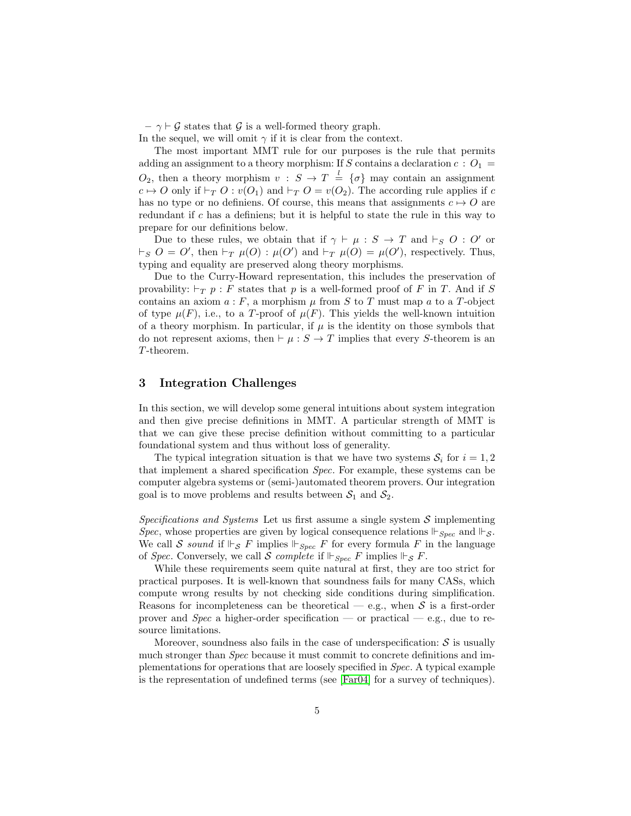$-\gamma \vdash \mathcal{G}$  states that  $\mathcal{G}$  is a well-formed theory graph.

In the sequel, we will omit  $\gamma$  if it is clear from the context.

The most important MMT rule for our purposes is the rule that permits adding an assignment to a theory morphism: If S contains a declaration  $c : O_1 =$  $O_2$ , then a theory morphism  $v : S \to T \perp \{\sigma\}$  may contain an assignment  $c \mapsto O$  only if  $\vdash_T O : v(O_1)$  and  $\vdash_T O = v(O_2)$ . The according rule applies if c has no type or no definiens. Of course, this means that assignments  $c \mapsto O$  are redundant if c has a definiens; but it is helpful to state the rule in this way to prepare for our definitions below.

Due to these rules, we obtain that if  $\gamma \vdash \mu : S \to T$  and  $\vdash_S O : O'$  or  $\vdash_S O = O'$ , then  $\vdash_T \mu(O) : \mu(O')$  and  $\vdash_T \mu(O) = \mu(O')$ , respectively. Thus, typing and equality are preserved along theory morphisms.

Due to the Curry-Howard representation, this includes the preservation of provability:  $\vdash_T p : F$  states that p is a well-formed proof of F in T. And if S contains an axiom  $a : F$ , a morphism  $\mu$  from S to T must map a to a T-object of type  $\mu(F)$ , i.e., to a T-proof of  $\mu(F)$ . This yields the well-known intuition of a theory morphism. In particular, if  $\mu$  is the identity on those symbols that do not represent axioms, then  $\vdash \mu : S \to T$  implies that every S-theorem is an T-theorem.

## <span id="page-4-0"></span>3 Integration Challenges

In this section, we will develop some general intuitions about system integration and then give precise definitions in MMT. A particular strength of MMT is that we can give these precise definition without committing to a particular foundational system and thus without loss of generality.

The typical integration situation is that we have two systems  $S_i$  for  $i = 1, 2$ that implement a shared specification Spec. For example, these systems can be computer algebra systems or (semi-)automated theorem provers. Our integration goal is to move problems and results between  $S_1$  and  $S_2$ .

Specifications and Systems Let us first assume a single system  $S$  implementing Spec, whose properties are given by logical consequence relations  $\mathbb{H}_{\text{Spec}}$  and  $\mathbb{H}_{\mathcal{S}}$ . We call S sound if  $\Vdash_{\mathcal{S}} F$  implies  $\Vdash_{Spec} F$  for every formula F in the language of Spec. Conversely, we call S complete if  $\Vdash_{Spec} F$  implies  $\Vdash_{\mathcal{S}} F$ .

While these requirements seem quite natural at first, they are too strict for practical purposes. It is well-known that soundness fails for many CASs, which compute wrong results by not checking side conditions during simplification. Reasons for incompleteness can be theoretical — e.g., when  $S$  is a first-order prover and *Spec* a higher-order specification — or practical — e.g., due to resource limitations.

Moreover, soundness also fails in the case of underspecification:  $\mathcal S$  is usually much stronger than Spec because it must commit to concrete definitions and implementations for operations that are loosely specified in Spec. A typical example is the representation of undefined terms (see [\[Far04\]](#page-13-4) for a survey of techniques).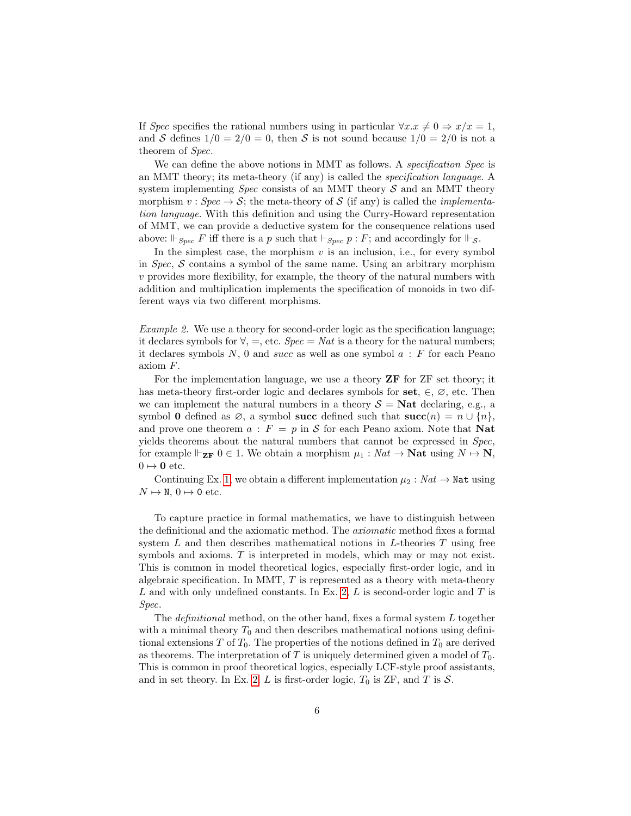If Spec specifies the rational numbers using in particular  $\forall x.x \neq 0 \Rightarrow x/x = 1$ , and S defines  $1/0 = 2/0 = 0$ , then S is not sound because  $1/0 = 2/0$  is not a theorem of Spec.

We can define the above notions in MMT as follows. A *specification Spec* is an MMT theory; its meta-theory (if any) is called the specification language. A system implementing *Spec* consists of an MMT theory  $S$  and an MMT theory morphism  $v : Spec \rightarrow S$ ; the meta-theory of S (if any) is called the *implementa*tion language. With this definition and using the Curry-Howard representation of MMT, we can provide a deductive system for the consequence relations used above:  $\Vdash_{Spec} F$  iff there is a p such that  $\vdash_{Spec} p : F$ ; and accordingly for  $\Vdash_{\mathcal{S}}$ .

In the simplest case, the morphism  $v$  is an inclusion, i.e., for every symbol in Spec, S contains a symbol of the same name. Using an arbitrary morphism  $v$  provides more flexibility, for example, the theory of the natural numbers with addition and multiplication implements the specification of monoids in two different ways via two different morphisms.

<span id="page-5-0"></span>Example 2. We use a theory for second-order logic as the specification language; it declares symbols for  $\forall$ , =, etc.  $Spec = Nat$  is a theory for the natural numbers; it declares symbols  $N$ , 0 and succ as well as one symbol  $a : F$  for each Peano axiom F.

For the implementation language, we use a theory ZF for ZF set theory; it has meta-theory first-order logic and declares symbols for set,  $\in$ ,  $\varnothing$ , etc. Then we can implement the natural numbers in a theory  $S = \mathbf{Nat}$  declaring, e.g., a symbol 0 defined as  $\emptyset$ , a symbol succ defined such that  $succ(n) = n \cup \{n\}$ , and prove one theorem  $a : F = p$  in S for each Peano axiom. Note that **Nat** yields theorems about the natural numbers that cannot be expressed in Spec, for example  $\Vdash_{\mathbf{ZF}} 0 \in 1$ . We obtain a morphism  $\mu_1 : Nat \to \mathbf{Nat}$  using  $N \mapsto \mathbf{N}$ ,  $0 \mapsto 0$  etc.

Continuing Ex. [1,](#page-2-0) we obtain a different implementation  $\mu_2 : Nat \rightarrow Nat$  using  $N \mapsto N$ ,  $0 \mapsto 0$  etc.

To capture practice in formal mathematics, we have to distinguish between the definitional and the axiomatic method. The axiomatic method fixes a formal system  $L$  and then describes mathematical notions in  $L$ -theories  $T$  using free symbols and axioms. T is interpreted in models, which may or may not exist. This is common in model theoretical logics, especially first-order logic, and in algebraic specification. In MMT,  $T$  is represented as a theory with meta-theory L and with only undefined constants. In Ex. [2,](#page-5-0) L is second-order logic and T is Spec.

The definitional method, on the other hand, fixes a formal system L together with a minimal theory  $T_0$  and then describes mathematical notions using definitional extensions T of  $T_0$ . The properties of the notions defined in  $T_0$  are derived as theorems. The interpretation of T is uniquely determined given a model of  $T_0$ . This is common in proof theoretical logics, especially LCF-style proof assistants, and in set theory. In Ex. [2,](#page-5-0) L is first-order logic,  $T_0$  is ZF, and T is S.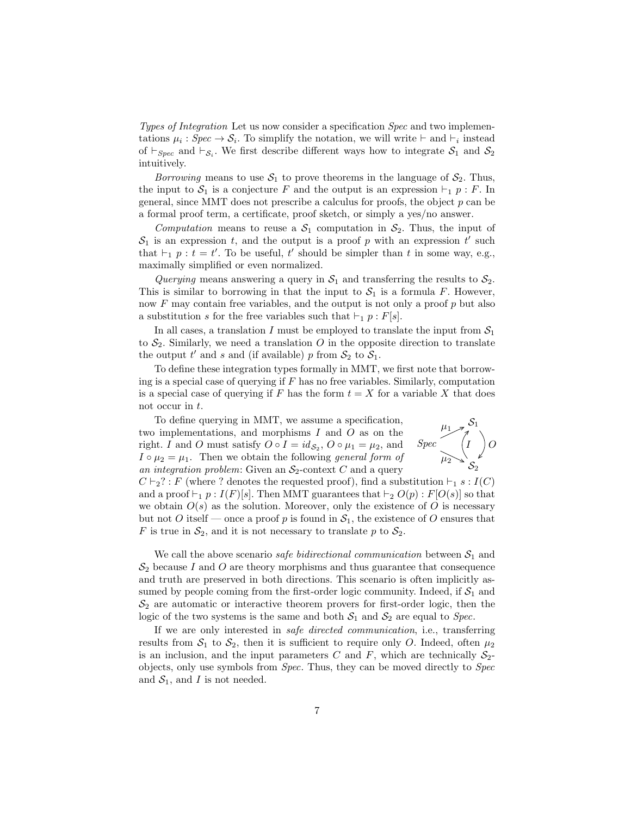Types of Integration Let us now consider a specification Spec and two implementations  $\mu_i : Spec \to \mathcal{S}_i$ . To simplify the notation, we will write  $\vdash$  and  $\vdash_i$  instead of  $\vdash_{Spec}$  and  $\vdash_{\mathcal{S}_i}$ . We first describe different ways how to integrate  $\mathcal{S}_1$  and  $\mathcal{S}_2$ intuitively.

*Borrowing* means to use  $S_1$  to prove theorems in the language of  $S_2$ . Thus, the input to  $S_1$  is a conjecture F and the output is an expression  $\vdash_1 p : F$ . In general, since MMT does not prescribe a calculus for proofs, the object  $p$  can be a formal proof term, a certificate, proof sketch, or simply a yes/no answer.

Computation means to reuse a  $S_1$  computation in  $S_2$ . Thus, the input of  $S_1$  is an expression t, and the output is a proof p with an expression t' such that  $\vdash_1 p : t = t'$ . To be useful, t' should be simpler than t in some way, e.g., maximally simplified or even normalized.

Querying means answering a query in  $S_1$  and transferring the results to  $S_2$ . This is similar to borrowing in that the input to  $S_1$  is a formula F. However, now  $F$  may contain free variables, and the output is not only a proof  $p$  but also a substitution s for the free variables such that  $\vdash_1 p : F[s]$ .

In all cases, a translation I must be employed to translate the input from  $S_1$ to  $S_2$ . Similarly, we need a translation O in the opposite direction to translate the output  $t'$  and  $s$  and (if available)  $p$  from  $S_2$  to  $S_1$ .

To define these integration types formally in MMT, we first note that borrowing is a special case of querying if  $F$  has no free variables. Similarly, computation is a special case of querying if F has the form  $t = X$  for a variable X that does not occur in t.

To define querying in MMT, we assume a specification, two implementations, and morphisms  $I$  and  $O$  as on the right. I and O must satisfy  $O \circ I = id_{S_2}$ ,  $O \circ \mu_1 = \mu_2$ , and  $I \circ \mu_2 = \mu_1$ . Then we obtain the following general form of an integration problem: Given an  $S_2$ -context C and a query



 $C \vdash_2 ? : F$  (where ? denotes the requested proof), find a substitution  $\vdash_1 s : I(C)$ and a proof  $\vdash_1 p : I(F)[s]$ . Then MMT guarantees that  $\vdash_2 O(p) : F[O(s)]$  so that we obtain  $O(s)$  as the solution. Moreover, only the existence of O is necessary but not O itself — once a proof p is found in  $S_1$ , the existence of O ensures that F is true in  $S_2$ , and it is not necessary to translate p to  $S_2$ .

We call the above scenario *safe bidirectional communication* between  $S_1$  and  $\mathcal{S}_2$  because I and O are theory morphisms and thus guarantee that consequence and truth are preserved in both directions. This scenario is often implicitly assumed by people coming from the first-order logic community. Indeed, if  $S_1$  and  $S<sub>2</sub>$  are automatic or interactive theorem provers for first-order logic, then the logic of the two systems is the same and both  $S_1$  and  $S_2$  are equal to Spec.

If we are only interested in safe directed communication, i.e., transferring results from  $S_1$  to  $S_2$ , then it is sufficient to require only O. Indeed, often  $\mu_2$ is an inclusion, and the input parameters C and F, which are technically  $S_{2}$ objects, only use symbols from Spec. Thus, they can be moved directly to Spec and  $S_1$ , and I is not needed.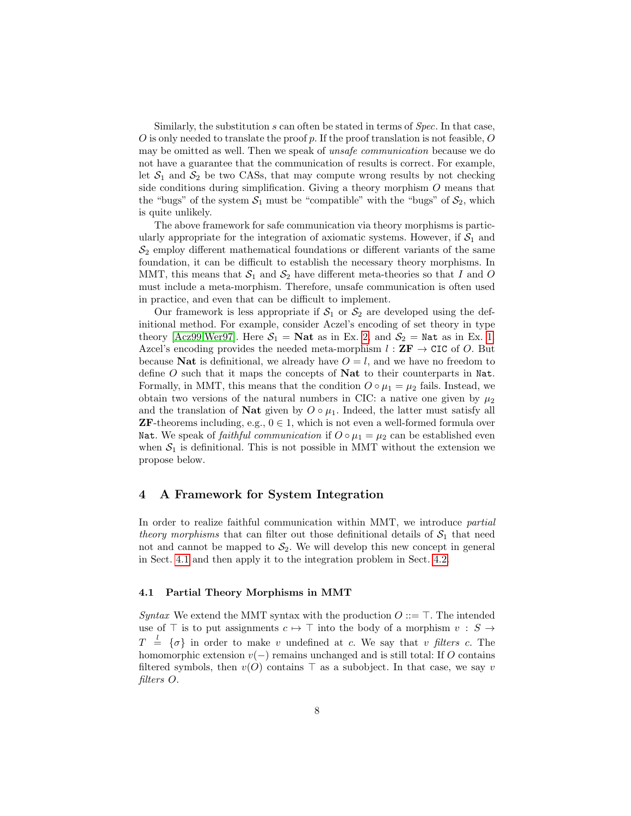Similarly, the substitution s can often be stated in terms of Spec. In that case, O is only needed to translate the proof p. If the proof translation is not feasible,  $O$ may be omitted as well. Then we speak of *unsafe communication* because we do not have a guarantee that the communication of results is correct. For example, let  $S_1$  and  $S_2$  be two CASs, that may compute wrong results by not checking side conditions during simplification. Giving a theory morphism  $O$  means that the "bugs" of the system  $S_1$  must be "compatible" with the "bugs" of  $S_2$ , which is quite unlikely.

The above framework for safe communication via theory morphisms is particularly appropriate for the integration of axiomatic systems. However, if  $S_1$  and  $S_2$  employ different mathematical foundations or different variants of the same foundation, it can be difficult to establish the necessary theory morphisms. In MMT, this means that  $S_1$  and  $S_2$  have different meta-theories so that I and O must include a meta-morphism. Therefore, unsafe communication is often used in practice, and even that can be difficult to implement.

Our framework is less appropriate if  $S_1$  or  $S_2$  are developed using the definitional method. For example, consider Aczel's encoding of set theory in type theory [\[Acz99](#page-13-5)[,Wer97\]](#page-14-1). Here  $S_1 = \text{Nat as in Ex. 2, and } S_2 = \text{Nat as in Ex. 1.}$  $S_1 = \text{Nat as in Ex. 2, and } S_2 = \text{Nat as in Ex. 1.}$  $S_1 = \text{Nat as in Ex. 2, and } S_2 = \text{Nat as in Ex. 1.}$  $S_1 = \text{Nat as in Ex. 2, and } S_2 = \text{Nat as in Ex. 1.}$  $S_1 = \text{Nat as in Ex. 2, and } S_2 = \text{Nat as in Ex. 1.}$ Azcel's encoding provides the needed meta-morphism  $l : \mathbf{ZF} \to \mathsf{CIC}$  of O. But because **Nat** is definitional, we already have  $O = l$ , and we have no freedom to define  $O$  such that it maps the concepts of **Nat** to their counterparts in Nat. Formally, in MMT, this means that the condition  $O \circ \mu_1 = \mu_2$  fails. Instead, we obtain two versions of the natural numbers in CIC: a native one given by  $\mu_2$ and the translation of **Nat** given by  $O \circ \mu_1$ . Indeed, the latter must satisfy all **ZF**-theorems including, e.g.,  $0 \in 1$ , which is not even a well-formed formula over Nat. We speak of *faithful communication* if  $O \circ \mu_1 = \mu_2$  can be established even when  $S_1$  is definitional. This is not possible in MMT without the extension we propose below.

### <span id="page-7-0"></span>4 A Framework for System Integration

In order to realize faithful communication within MMT, we introduce partial theory morphisms that can filter out those definitional details of  $S_1$  that need not and cannot be mapped to  $S_2$ . We will develop this new concept in general in Sect. [4.1](#page-7-1) and then apply it to the integration problem in Sect. [4.2.](#page-8-0)

#### <span id="page-7-1"></span>4.1 Partial Theory Morphisms in MMT

Syntax We extend the MMT syntax with the production  $O ::= \top$ . The intended use of  $\top$  is to put assignments  $c \mapsto \top$  into the body of a morphism  $v : S \rightarrow$  $T \stackrel{l}{=} {\sigma}$  in order to make v undefined at c. We say that v filters c. The homomorphic extension  $v(-)$  remains unchanged and is still total: If O contains filtered symbols, then  $v(O)$  contains  $\top$  as a subobject. In that case, we say v filters O.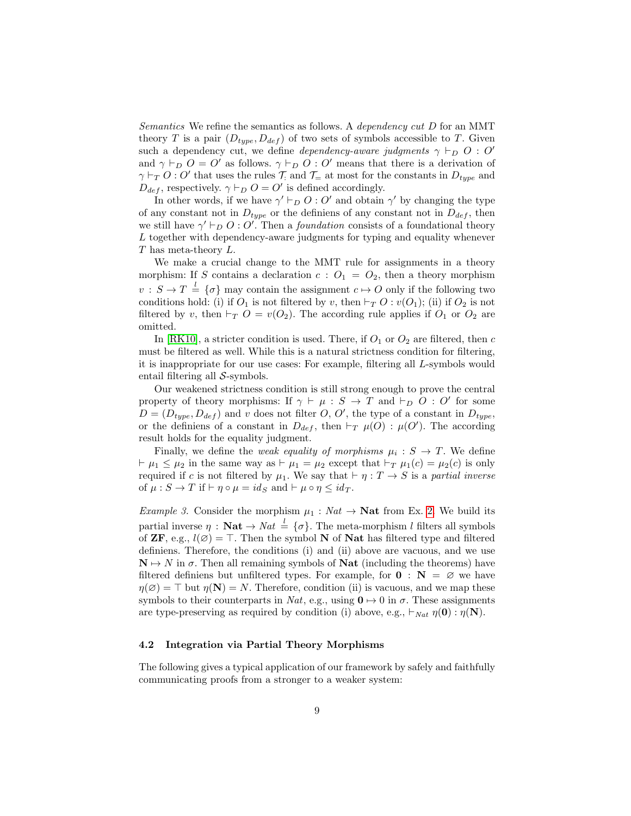Semantics We refine the semantics as follows. A *dependency cut D* for an MMT theory T is a pair  $(D_{type}, D_{def})$  of two sets of symbols accessible to T. Given such a dependency cut, we define *dependency-aware judgments*  $\gamma \vdash_D O : O'$ and  $\gamma \vdash_D O = O'$  as follows.  $\gamma \vdash_D O : O'$  means that there is a derivation of  $\gamma \vdash_T O : O'$  that uses the rules T: and  $\mathcal{T}_\equiv$  at most for the constants in  $D_{type}$  and  $D_{def}$ , respectively.  $\gamma \vdash_D O = O'$  is defined accordingly.

In other words, if we have  $\gamma' \vdash_D O : O'$  and obtain  $\gamma'$  by changing the type of any constant not in  $D_{type}$  or the definiens of any constant not in  $D_{def}$ , then we still have  $\gamma' \vdash_D O : O'.$  Then a *foundation* consists of a foundational theory L together with dependency-aware judgments for typing and equality whenever T has meta-theory L.

We make a crucial change to the MMT rule for assignments in a theory morphism: If S contains a declaration  $c: O_1 = O_2$ , then a theory morphism  $v : S \to T \stackrel{l}{=} {\sigma}$  may contain the assignment  $c \mapsto O$  only if the following two conditions hold: (i) if  $O_1$  is not filtered by v, then  $\vdash_T O : v(O_1)$ ; (ii) if  $O_2$  is not filtered by v, then  $\vdash_T O = v(O_2)$ . The according rule applies if  $O_1$  or  $O_2$  are omitted.

In [\[RK10\]](#page-14-0), a stricter condition is used. There, if  $O_1$  or  $O_2$  are filtered, then c must be filtered as well. While this is a natural strictness condition for filtering, it is inappropriate for our use cases: For example, filtering all L-symbols would entail filtering all  $S$ -symbols.

Our weakened strictness condition is still strong enough to prove the central property of theory morphisms: If  $\gamma \vdash \mu : S \rightarrow T$  and  $\vdash_D O : O'$  for some  $D = (D_{type}, D_{def})$  and v does not filter O, O', the type of a constant in  $D_{type}$ , or the definiens of a constant in  $D_{def}$ , then  $\vdash_T \mu(O) : \mu(O')$ . The according result holds for the equality judgment.

Finally, we define the *weak equality of morphisms*  $\mu_i : S \to T$ . We define  $\vdash \mu_1 \leq \mu_2$  in the same way as  $\vdash \mu_1 = \mu_2$  except that  $\vdash_T \mu_1(c) = \mu_2(c)$  is only required if c is not filtered by  $\mu_1$ . We say that  $\vdash \eta : T \to S$  is a partial inverse of  $\mu : S \to T$  if  $\vdash \eta \circ \mu = id_S$  and  $\vdash \mu \circ \eta \leq id_T$ .

<span id="page-8-1"></span>*Example 3.* Consider the morphism  $\mu_1 : Nat \to \mathbf{Nat}$  from Ex. [2.](#page-5-0) We build its partial inverse  $\eta$ : **Nat**  $\rightarrow Nat \stackrel{l}{=} {\sigma}$ . The meta-morphism l filters all symbols of **ZF**, e.g.,  $l(\emptyset) = T$ . Then the symbol **N** of **Nat** has filtered type and filtered definiens. Therefore, the conditions (i) and (ii) above are vacuous, and we use  $\mathbf{N} \mapsto N$  in  $\sigma$ . Then all remaining symbols of **Nat** (including the theorems) have filtered definiens but unfiltered types. For example, for  $\mathbf{0} : \mathbf{N} = \emptyset$  we have  $\eta(\emptyset) = \top$  but  $\eta(\mathbf{N}) = N$ . Therefore, condition (ii) is vacuous, and we map these symbols to their counterparts in Nat, e.g., using  $0 \mapsto 0$  in  $\sigma$ . These assignments are type-preserving as required by condition (i) above, e.g.,  $\vdash_{Nat} \eta(0) : \eta(\mathbf{N}).$ 

### <span id="page-8-0"></span>4.2 Integration via Partial Theory Morphisms

The following gives a typical application of our framework by safely and faithfully communicating proofs from a stronger to a weaker system: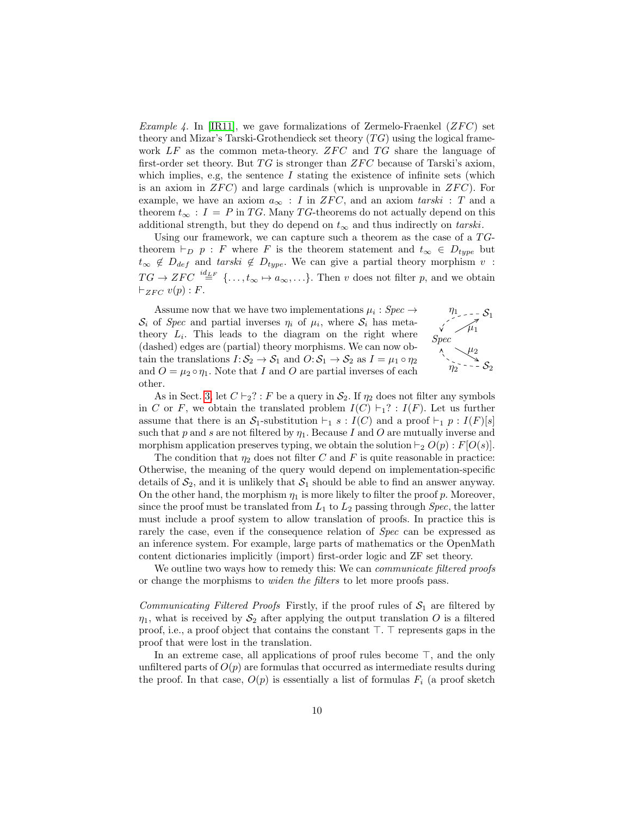*Example 4.* In [\[IR11\]](#page-13-6), we gave formalizations of Zermelo-Fraenkel  $(ZFC)$  set theory and Mizar's Tarski-Grothendieck set theory  $(TG)$  using the logical framework  $LF$  as the common meta-theory.  $ZFC$  and  $TG$  share the language of first-order set theory. But  $TG$  is stronger than  $ZFC$  because of Tarski's axiom, which implies, e.g, the sentence  $I$  stating the existence of infinite sets (which is an axiom in  $ZFC$ ) and large cardinals (which is unprovable in  $ZFC$ ). For example, we have an axiom  $a_{\infty}$ : I in ZFC, and an axiom tarski: T and a theorem  $t_{\infty}$ :  $I = P$  in TG. Many TG-theorems do not actually depend on this additional strength, but they do depend on  $t_{\infty}$  and thus indirectly on tarski.

Using our framework, we can capture such a theorem as the case of a  $TG$ theorem  $\vdash_D p : F$  where F is the theorem statement and  $t_{\infty} \in D_{type}$  but  $t_{\infty} \notin D_{def}$  and tarski  $\notin D_{type}$ . We can give a partial theory morphism v:  $TG \to ZFC \stackrel{id_{LF}}{=} {\ldots, t_{\infty} \mapsto a_{\infty}, \ldots}.$  Then v does not filter p, and we obtain  $\vdash_{ZFC} v(p) : F$ .

Assume now that we have two implementations  $\mu_i : Spec \rightarrow$  $S_i$  of Spec and partial inverses  $\eta_i$  of  $\mu_i$ , where  $S_i$  has metatheory  $L_i$ . This leads to the diagram on the right where (dashed) edges are (partial) theory morphisms. We can now obtain the translations  $I: \mathcal{S}_2 \to \mathcal{S}_1$  and  $O: \mathcal{S}_1 \to \mathcal{S}_2$  as  $I = \mu_1 \circ \eta_2$ and  $O = \mu_2 \circ \eta_1$ . Note that I and O are partial inverses of each other.

$$
\begin{array}{c}\n\eta_1 \qquad \qquad -\frac{1}{2} S_1 \\
\downarrow \qquad \qquad \downarrow \qquad \downarrow \\
\downarrow \qquad \qquad \downarrow \qquad \downarrow \qquad \downarrow \\
\eta_2 \qquad \qquad -\frac{1}{2} S_2\n\end{array}
$$

As in Sect. [3,](#page-4-0) let  $C \vdash_2 ? : F$  be a query in  $S_2$ . If  $\eta_2$  does not filter any symbols in C or F, we obtain the translated problem  $I(C) \vdash_1 ? : I(F)$ . Let us further assume that there is an  $S_1$ -substitution  $\vdash_1 s : I(C)$  and a proof  $\vdash_1 p : I(F)[s]$ such that p and s are not filtered by  $\eta_1$ . Because I and O are mutually inverse and morphism application preserves typing, we obtain the solution  $\vdash_2 O(p)$  :  $F[O(s)]$ .

The condition that  $\eta_2$  does not filter C and F is quite reasonable in practice: Otherwise, the meaning of the query would depend on implementation-specific details of  $S_2$ , and it is unlikely that  $S_1$  should be able to find an answer anyway. On the other hand, the morphism  $\eta_1$  is more likely to filter the proof p. Moreover, since the proof must be translated from  $L_1$  to  $L_2$  passing through Spec, the latter must include a proof system to allow translation of proofs. In practice this is rarely the case, even if the consequence relation of Spec can be expressed as an inference system. For example, large parts of mathematics or the OpenMath content dictionaries implicitly (import) first-order logic and ZF set theory.

We outline two ways how to remedy this: We can *communicate filtered proofs* or change the morphisms to widen the filters to let more proofs pass.

Communicating Filtered Proofs Firstly, if the proof rules of  $S_1$  are filtered by  $\eta_1$ , what is received by  $S_2$  after applying the output translation O is a filtered proof, i.e., a proof object that contains the constant  $\top$ .  $\top$  represents gaps in the proof that were lost in the translation.

In an extreme case, all applications of proof rules become  $\top$ , and the only unfiltered parts of  $O(p)$  are formulas that occurred as intermediate results during the proof. In that case,  $O(p)$  is essentially a list of formulas  $F_i$  (a proof sketch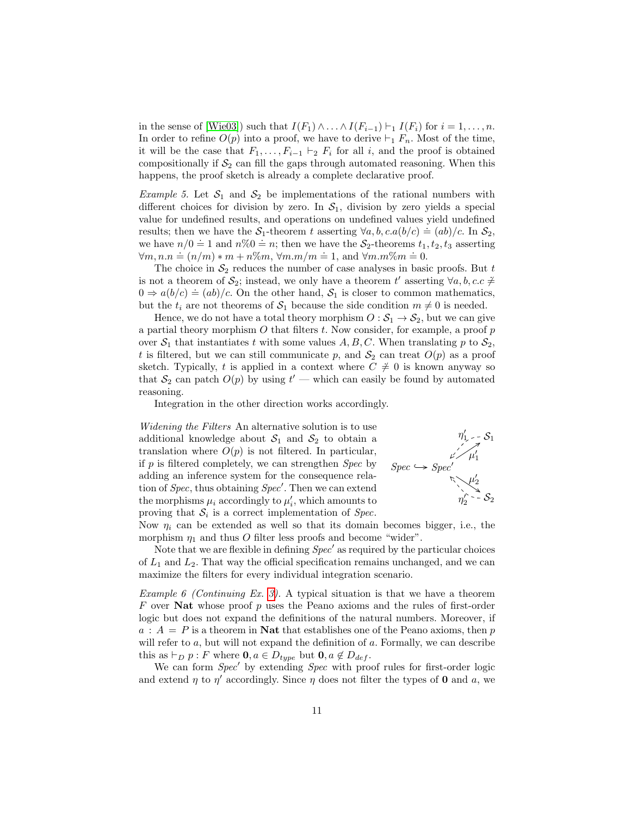in the sense of [\[Wie03\]](#page-14-2)) such that  $I(F_1) \wedge \ldots \wedge I(F_{i-1}) \vdash_1 I(F_i)$  for  $i = 1, \ldots, n$ . In order to refine  $O(p)$  into a proof, we have to derive  $\vdash_1 F_n$ . Most of the time, it will be the case that  $F_1, \ldots, F_{i-1} \vdash_2 F_i$  for all i, and the proof is obtained compositionally if  $S_2$  can fill the gaps through automated reasoning. When this happens, the proof sketch is already a complete declarative proof.

*Example 5.* Let  $S_1$  and  $S_2$  be implementations of the rational numbers with different choices for division by zero. In  $S_1$ , division by zero yields a special value for undefined results, and operations on undefined values yield undefined results; then we have the S<sub>1</sub>-theorem t asserting  $\forall a, b, c.a(b/c) = (ab)/c$ . In S<sub>2</sub>, we have  $n/0 \doteq 1$  and  $n\%0 \doteq n$ ; then we have the  $S_2$ -theorems  $t_1, t_2, t_3$  asserting  $\forall m, n.n. \doteq (n/m) * m + n\%m$ ,  $\forall m.m/m \doteq 1$ , and  $\forall m.m\%m \doteq 0$ .

The choice in  $\mathcal{S}_2$  reduces the number of case analyses in basic proofs. But t is not a theorem of  $S_2$ ; instead, we only have a theorem t' asserting  $\forall a, b, c.c \neq 0$  $0 \Rightarrow a(b/c) \doteq (ab)/c$ . On the other hand,  $S_1$  is closer to common mathematics, but the  $t_i$  are not theorems of  $S_1$  because the side condition  $m \neq 0$  is needed.

Hence, we do not have a total theory morphism  $O : \mathcal{S}_1 \to \mathcal{S}_2$ , but we can give a partial theory morphism  $O$  that filters  $t$ . Now consider, for example, a proof  $p$ over  $S_1$  that instantiates t with some values A, B, C. When translating p to  $S_2$ , t is filtered, but we can still communicate p, and  $S_2$  can treat  $O(p)$  as a proof sketch. Typically, t is applied in a context where  $C \neq 0$  is known anyway so that  $S_2$  can patch  $O(p)$  by using  $t'$  — which can easily be found by automated reasoning.

Integration in the other direction works accordingly.

Widening the Filters An alternative solution is to use additional knowledge about  $S_1$  and  $S_2$  to obtain a translation where  $O(p)$  is not filtered. In particular, if  $p$  is filtered completely, we can strengthen *Spec* by adding an inference system for the consequence relation of  $Spec$ , thus obtaining  $Spec'$ . Then we can extend the morphisms  $\mu_i$  accordingly to  $\mu'_i$ , which amounts to proving that  $S_i$  is a correct implementation of *Spec*.



Now  $\eta_i$  can be extended as well so that its domain becomes bigger, i.e., the morphism  $\eta_1$  and thus O filter less proofs and become "wider".

Note that we are flexible in defining  $Spec'$  as required by the particular choices of  $L_1$  and  $L_2$ . That way the official specification remains unchanged, and we can maximize the filters for every individual integration scenario.

Example 6 (Continuing Ex. [3\)](#page-8-1). A typical situation is that we have a theorem  $F$  over **Nat** whose proof  $p$  uses the Peano axioms and the rules of first-order logic but does not expand the definitions of the natural numbers. Moreover, if  $a : A = P$  is a theorem in **Nat** that establishes one of the Peano axioms, then p will refer to  $a$ , but will not expand the definition of  $a$ . Formally, we can describe this as  $\vdash_D p : F$  where  $\mathbf{0}, a \in D_{type}$  but  $\mathbf{0}, a \notin D_{def}$ .

We can form  $Spec'$  by extending  $Spec$  with proof rules for first-order logic and extend  $\eta$  to  $\eta'$  accordingly. Since  $\eta$  does not filter the types of **0** and a, we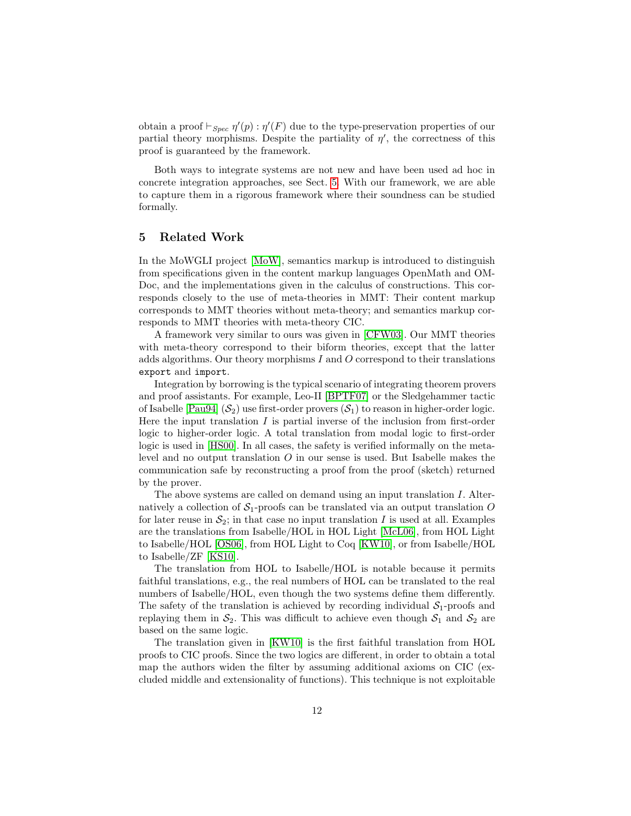obtain a proof  $\vdash_{Spec} \eta'(p) : \eta'(F)$  due to the type-preservation properties of our partial theory morphisms. Despite the partiality of  $\eta'$ , the correctness of this proof is guaranteed by the framework.

Both ways to integrate systems are not new and have been used ad hoc in concrete integration approaches, see Sect. [5.](#page-11-0) With our framework, we are able to capture them in a rigorous framework where their soundness can be studied formally.

# <span id="page-11-0"></span>5 Related Work

In the MoWGLI project [\[MoW\]](#page-14-3), semantics markup is introduced to distinguish from specifications given in the content markup languages OpenMath and OM-Doc, and the implementations given in the calculus of constructions. This corresponds closely to the use of meta-theories in MMT: Their content markup corresponds to MMT theories without meta-theory; and semantics markup corresponds to MMT theories with meta-theory CIC.

A framework very similar to ours was given in [\[CFW03\]](#page-13-7). Our MMT theories with meta-theory correspond to their biform theories, except that the latter adds algorithms. Our theory morphisms  $I$  and  $O$  correspond to their translations export and import.

Integration by borrowing is the typical scenario of integrating theorem provers and proof assistants. For example, Leo-II [\[BPTF07\]](#page-13-8) or the Sledgehammer tactic of Isabelle [\[Pau94\]](#page-14-4)  $(\mathcal{S}_2)$  use first-order provers  $(\mathcal{S}_1)$  to reason in higher-order logic. Here the input translation  $I$  is partial inverse of the inclusion from first-order logic to higher-order logic. A total translation from modal logic to first-order logic is used in [\[HS00\]](#page-13-9). In all cases, the safety is verified informally on the metalevel and no output translation  $O$  in our sense is used. But Isabelle makes the communication safe by reconstructing a proof from the proof (sketch) returned by the prover.

The above systems are called on demand using an input translation I. Alternatively a collection of  $S_1$ -proofs can be translated via an output translation O for later reuse in  $S_2$ ; in that case no input translation I is used at all. Examples are the translations from Isabelle/HOL in HOL Light [\[McL06\]](#page-14-5), from HOL Light to Isabelle/HOL [\[OS06\]](#page-14-6), from HOL Light to Coq [\[KW10\]](#page-14-7), or from Isabelle/HOL to Isabelle/ZF [\[KS10\]](#page-13-10).

The translation from HOL to Isabelle/HOL is notable because it permits faithful translations, e.g., the real numbers of HOL can be translated to the real numbers of Isabelle/HOL, even though the two systems define them differently. The safety of the translation is achieved by recording individual  $S_1$ -proofs and replaying them in  $S_2$ . This was difficult to achieve even though  $S_1$  and  $S_2$  are based on the same logic.

The translation given in [\[KW10\]](#page-14-7) is the first faithful translation from HOL proofs to CIC proofs. Since the two logics are different, in order to obtain a total map the authors widen the filter by assuming additional axioms on CIC (excluded middle and extensionality of functions). This technique is not exploitable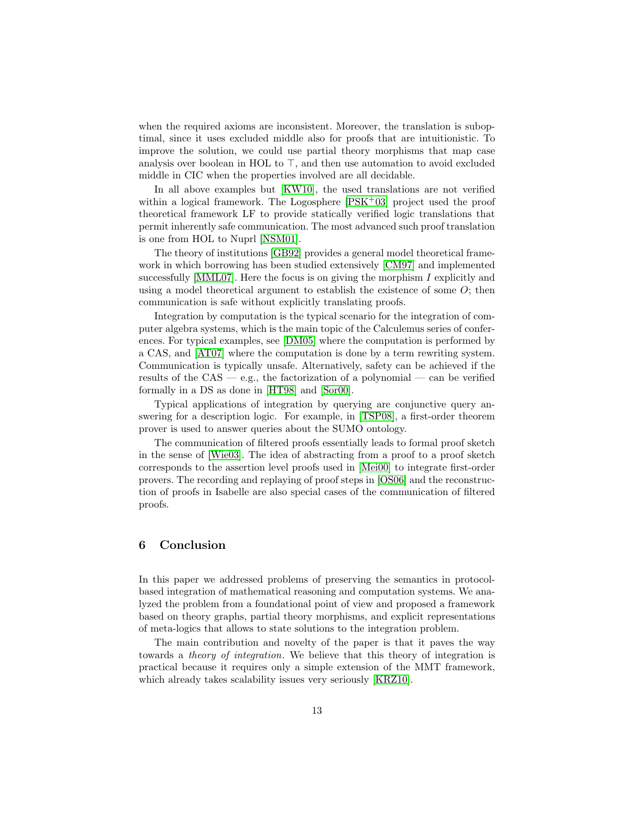when the required axioms are inconsistent. Moreover, the translation is suboptimal, since it uses excluded middle also for proofs that are intuitionistic. To improve the solution, we could use partial theory morphisms that map case analysis over boolean in HOL to  $\top$ , and then use automation to avoid excluded middle in CIC when the properties involved are all decidable.

In all above examples but [\[KW10\]](#page-14-7), the used translations are not verified within a logical framework. The Logosphere  $[PSK^+03]$  $[PSK^+03]$  project used the proof theoretical framework LF to provide statically verified logic translations that permit inherently safe communication. The most advanced such proof translation is one from HOL to Nuprl [\[NSM01\]](#page-14-9).

The theory of institutions [\[GB92\]](#page-13-11) provides a general model theoretical framework in which borrowing has been studied extensively [\[CM97\]](#page-13-12) and implemented successfully [\[MML07\]](#page-14-10). Here the focus is on giving the morphism  $I$  explicitly and using a model theoretical argument to establish the existence of some  $O$ ; then communication is safe without explicitly translating proofs.

Integration by computation is the typical scenario for the integration of computer algebra systems, which is the main topic of the Calculemus series of conferences. For typical examples, see [\[DM05\]](#page-13-13) where the computation is performed by a CAS, and [\[AT07\]](#page-13-14) where the computation is done by a term rewriting system. Communication is typically unsafe. Alternatively, safety can be achieved if the results of the  $CAS - e.g.,$  the factorization of a polynomial — can be verified formally in a DS as done in [\[HT98\]](#page-13-15) and [\[Sor00\]](#page-14-11).

Typical applications of integration by querying are conjunctive query answering for a description logic. For example, in [\[TSP08\]](#page-14-12), a first-order theorem prover is used to answer queries about the SUMO ontology.

The communication of filtered proofs essentially leads to formal proof sketch in the sense of [\[Wie03\]](#page-14-2). The idea of abstracting from a proof to a proof sketch corresponds to the assertion level proofs used in [\[Mei00\]](#page-14-13) to integrate first-order provers. The recording and replaying of proof steps in [\[OS06\]](#page-14-6) and the reconstruction of proofs in Isabelle are also special cases of the communication of filtered proofs.

# <span id="page-12-0"></span>6 Conclusion

In this paper we addressed problems of preserving the semantics in protocolbased integration of mathematical reasoning and computation systems. We analyzed the problem from a foundational point of view and proposed a framework based on theory graphs, partial theory morphisms, and explicit representations of meta-logics that allows to state solutions to the integration problem.

The main contribution and novelty of the paper is that it paves the way towards a theory of integration. We believe that this theory of integration is practical because it requires only a simple extension of the MMT framework, which already takes scalability issues very seriously [\[KRZ10\]](#page-13-16).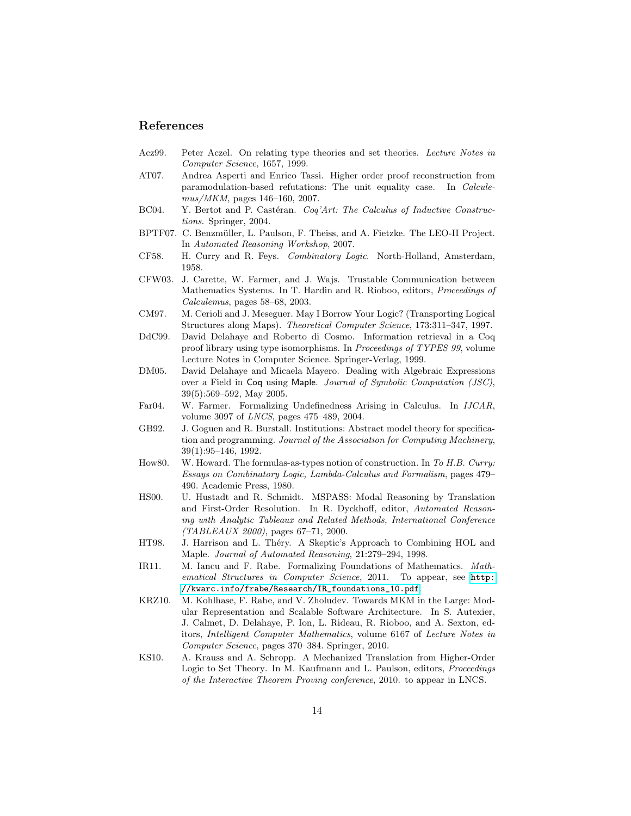## References

- <span id="page-13-5"></span>Acz99. Peter Aczel. On relating type theories and set theories. Lecture Notes in Computer Science, 1657, 1999.
- <span id="page-13-14"></span>AT07. Andrea Asperti and Enrico Tassi. Higher order proof reconstruction from paramodulation-based refutations: The unit equality case. In Calculemus/MKM, pages 146–160, 2007.
- <span id="page-13-1"></span>BC04. Y. Bertot and P. Castéran. Coq'Art: The Calculus of Inductive Constructions. Springer, 2004.
- <span id="page-13-8"></span>BPTF07. C. Benzmüller, L. Paulson, F. Theiss, and A. Fietzke. The LEO-II Project. In Automated Reasoning Workshop, 2007.
- <span id="page-13-2"></span>CF58. H. Curry and R. Feys. Combinatory Logic. North-Holland, Amsterdam, 1958.
- <span id="page-13-7"></span>CFW03. J. Carette, W. Farmer, and J. Wajs. Trustable Communication between Mathematics Systems. In T. Hardin and R. Rioboo, editors, Proceedings of Calculemus, pages 58–68, 2003.
- <span id="page-13-12"></span>CM97. M. Cerioli and J. Meseguer. May I Borrow Your Logic? (Transporting Logical Structures along Maps). Theoretical Computer Science, 173:311–347, 1997.
- <span id="page-13-0"></span>DdC99. David Delahaye and Roberto di Cosmo. Information retrieval in a Coq proof library using type isomorphisms. In Proceedings of TYPES 99, volume Lecture Notes in Computer Science. Springer-Verlag, 1999.
- <span id="page-13-13"></span>DM05. David Delahaye and Micaela Mayero. Dealing with Algebraic Expressions over a Field in Coq using Maple. Journal of Symbolic Computation (JSC), 39(5):569–592, May 2005.
- <span id="page-13-4"></span>Far04. W. Farmer. Formalizing Undefinedness Arising in Calculus. In IJCAR, volume 3097 of LNCS, pages 475–489, 2004.
- <span id="page-13-11"></span>GB92. J. Goguen and R. Burstall. Institutions: Abstract model theory for specification and programming. Journal of the Association for Computing Machinery, 39(1):95–146, 1992.
- <span id="page-13-3"></span>How80. W. Howard. The formulas-as-types notion of construction. In To H.B. Curry: Essays on Combinatory Logic, Lambda-Calculus and Formalism, pages 479– 490. Academic Press, 1980.
- <span id="page-13-9"></span>HS00. U. Hustadt and R. Schmidt. MSPASS: Modal Reasoning by Translation and First-Order Resolution. In R. Dyckhoff, editor, Automated Reasoning with Analytic Tableaux and Related Methods, International Conference (TABLEAUX 2000), pages 67–71, 2000.
- <span id="page-13-15"></span>HT98. J. Harrison and L. Théry. A Skeptic's Approach to Combining HOL and Maple. Journal of Automated Reasoning, 21:279–294, 1998.
- <span id="page-13-6"></span>IR11. M. Iancu and F. Rabe. Formalizing Foundations of Mathematics. Mathematical Structures in Computer Science, 2011. To appear, see [http:](http://kwarc.info/frabe/Research/IR_foundations_10.pdf) [//kwarc.info/frabe/Research/IR\\_foundations\\_10.pdf](http://kwarc.info/frabe/Research/IR_foundations_10.pdf).
- <span id="page-13-16"></span>KRZ10. M. Kohlhase, F. Rabe, and V. Zholudev. Towards MKM in the Large: Modular Representation and Scalable Software Architecture. In S. Autexier, J. Calmet, D. Delahaye, P. Ion, L. Rideau, R. Rioboo, and A. Sexton, editors, Intelligent Computer Mathematics, volume 6167 of Lecture Notes in Computer Science, pages 370–384. Springer, 2010.
- <span id="page-13-10"></span>KS10. A. Krauss and A. Schropp. A Mechanized Translation from Higher-Order Logic to Set Theory. In M. Kaufmann and L. Paulson, editors, Proceedings of the Interactive Theorem Proving conference, 2010. to appear in LNCS.